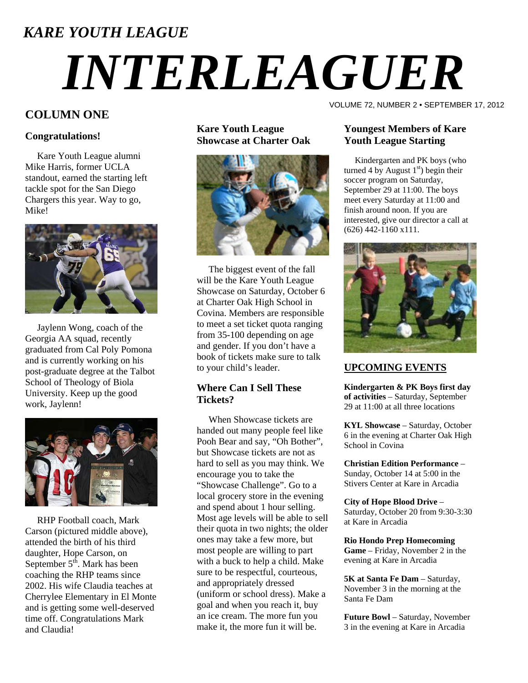# *KARE YOUTH LEAGUE INTERLEAGUER*

### **COLUMN ONE**

### **Congratulations!**

 Kare Youth League alumni Mike Harris, former UCLA standout, earned the starting left tackle spot for the San Diego Chargers this year. Way to go, Mike!



 Jaylenn Wong, coach of the Georgia AA squad, recently graduated from Cal Poly Pomona and is currently working on his post-graduate degree at the Talbot School of Theology of Biola University. Keep up the good work, Jaylenn!



 RHP Football coach, Mark Carson (pictured middle above), attended the birth of his third daughter, Hope Carson, on September  $5<sup>th</sup>$ . Mark has been coaching the RHP teams since 2002. His wife Claudia teaches at Cherrylee Elementary in El Monte and is getting some well-deserved time off. Congratulations Mark and Claudia!

**Kare Youth League Showcase at Charter Oak** 



 The biggest event of the fall will be the Kare Youth League Showcase on Saturday, October 6 at Charter Oak High School in Covina. Members are responsible to meet a set ticket quota ranging from 35-100 depending on age and gender. If you don't have a book of tickets make sure to talk to your child's leader.

### **Where Can I Sell These Tickets?**

 When Showcase tickets are handed out many people feel like Pooh Bear and say, "Oh Bother", but Showcase tickets are not as hard to sell as you may think. We encourage you to take the "Showcase Challenge". Go to a local grocery store in the evening and spend about 1 hour selling. Most age levels will be able to sell their quota in two nights; the older ones may take a few more, but most people are willing to part with a buck to help a child. Make sure to be respectful, courteous, and appropriately dressed (uniform or school dress). Make a goal and when you reach it, buy an ice cream. The more fun you make it, the more fun it will be.

VOLUME 72, NUMBER 2 • SEPTEMBER 17, 2012

### **Youngest Members of Kare Youth League Starting**

 Kindergarten and PK boys (who turned 4 by August  $1<sup>st</sup>$ ) begin their soccer program on Saturday, September 29 at 11:00. The boys meet every Saturday at 11:00 and finish around noon. If you are interested, give our director a call at (626) 442-1160 x111.



### **UPCOMING EVENTS**

**Kindergarten & PK Boys first day of activities** – Saturday, September 29 at 11:00 at all three locations

**KYL Showcase** – Saturday, October 6 in the evening at Charter Oak High School in Covina

**Christian Edition Performance** – Sunday, October 14 at 5:00 in the Stivers Center at Kare in Arcadia

**City of Hope Blood Drive** – Saturday, October 20 from 9:30-3:30 at Kare in Arcadia

**Rio Hondo Prep Homecoming Game** – Friday, November 2 in the evening at Kare in Arcadia

**5K at Santa Fe Dam** – Saturday, November 3 in the morning at the Santa Fe Dam

**Future Bowl** – Saturday, November 3 in the evening at Kare in Arcadia